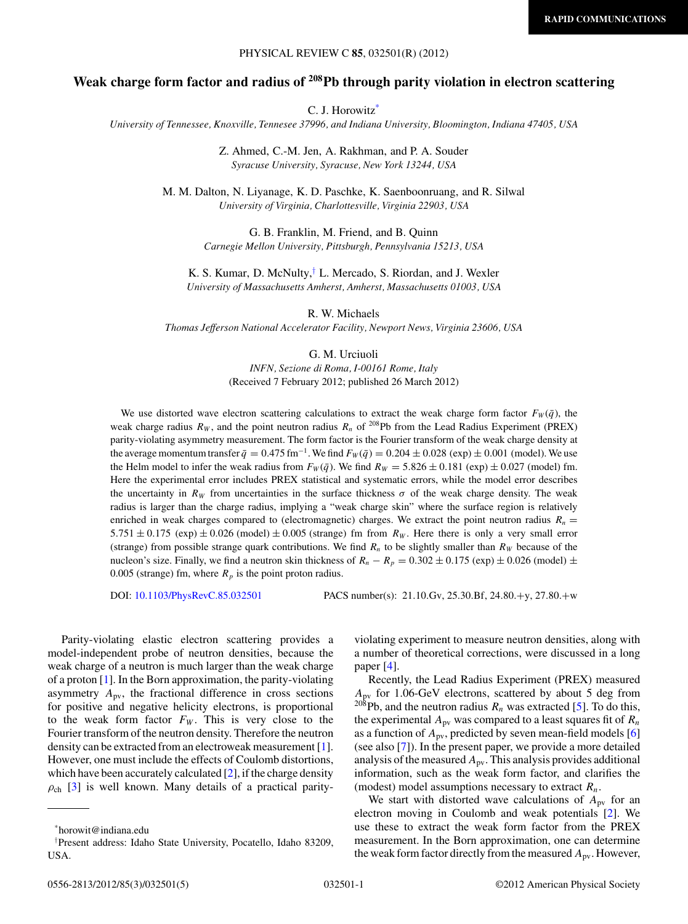### PHYSICAL REVIEW C **85**, 032501(R) (2012)

# **Weak charge form factor and radius of 208Pb through parity violation in electron scattering**

C. J. Horowitz\*

*University of Tennessee, Knoxville, Tennesee 37996, and Indiana University, Bloomington, Indiana 47405, USA*

Z. Ahmed, C.-M. Jen, A. Rakhman, and P. A. Souder *Syracuse University, Syracuse, New York 13244, USA*

M. M. Dalton, N. Liyanage, K. D. Paschke, K. Saenboonruang, and R. Silwal *University of Virginia, Charlottesville, Virginia 22903, USA*

> G. B. Franklin, M. Friend, and B. Quinn *Carnegie Mellon University, Pittsburgh, Pennsylvania 15213, USA*

K. S. Kumar, D. McNulty,† L. Mercado, S. Riordan, and J. Wexler *University of Massachusetts Amherst, Amherst, Massachusetts 01003, USA*

R. W. Michaels

*Thomas Jefferson National Accelerator Facility, Newport News, Virginia 23606, USA*

G. M. Urciuoli

*INFN, Sezione di Roma, I-00161 Rome, Italy* (Received 7 February 2012; published 26 March 2012)

We use distorted wave electron scattering calculations to extract the weak charge form factor  $F_W(\bar{q})$ , the weak charge radius  $R_W$ , and the point neutron radius  $R_n$  of <sup>208</sup>Pb from the Lead Radius Experiment (PREX) parity-violating asymmetry measurement. The form factor is the Fourier transform of the weak charge density at the average momentum transfer  $\bar{q} = 0.475$  fm<sup>-1</sup>. We find  $F_W(\bar{q}) = 0.204 \pm 0.028$  (exp)  $\pm$  0.001 (model). We use the Helm model to infer the weak radius from  $F_W(\bar{q})$ . We find  $R_W = 5.826 \pm 0.181$  (exp)  $\pm 0.027$  (model) fm. Here the experimental error includes PREX statistical and systematic errors, while the model error describes the uncertainty in  $R_W$  from uncertainties in the surface thickness  $\sigma$  of the weak charge density. The weak radius is larger than the charge radius, implying a "weak charge skin" where the surface region is relatively enriched in weak charges compared to (electromagnetic) charges. We extract the point neutron radius  $R_n =$  $5.751 \pm 0.175$  (exp)  $\pm 0.026$  (model)  $\pm 0.005$  (strange) fm from  $R_W$ . Here there is only a very small error (strange) from possible strange quark contributions. We find  $R_n$  to be slightly smaller than  $R_W$  because of the nucleon's size. Finally, we find a neutron skin thickness of  $R_n - R_p = 0.302 \pm 0.175$  (exp)  $\pm 0.026$  (model)  $\pm$ 0.005 (strange) fm, where  $R_p$  is the point proton radius.

DOI: [10.1103/PhysRevC.85.032501](http://dx.doi.org/10.1103/PhysRevC.85.032501) PACS number(s): 21*.*10*.*Gv, 25*.*30*.*Bf, 24*.*80*.*+y, 27*.*80*.*+w

Parity-violating elastic electron scattering provides a model-independent probe of neutron densities, because the weak charge of a neutron is much larger than the weak charge of a proton [\[1\]](#page-3-0). In the Born approximation, the parity-violating asymmetry  $A_{\text{pv}}$ , the fractional difference in cross sections for positive and negative helicity electrons, is proportional to the weak form factor  $F_W$ . This is very close to the Fourier transform of the neutron density. Therefore the neutron density can be extracted from an electroweak measurement [\[1\]](#page-3-0). However, one must include the effects of Coulomb distortions, which have been accurately calculated  $[2]$ , if the charge density  $\rho_{ch}$  [\[3\]](#page-3-0) is well known. Many details of a practical parity-

violating experiment to measure neutron densities, along with a number of theoretical corrections, were discussed in a long paper [\[4\]](#page-3-0).

Recently, the Lead Radius Experiment (PREX) measured *A*pv for 1.06-GeV electrons, scattered by about 5 deg from  $^{208}$ Pb, and the neutron radius  $R_n$  was extracted [\[5\]](#page-3-0). To do this, the experimental  $A_{\text{pv}}$  was compared to a least squares fit of  $R_n$ as a function of *A*pv, predicted by seven mean-field models [\[6\]](#page-3-0) (see also [\[7\]](#page-3-0)). In the present paper, we provide a more detailed analysis of the measured  $A_{\text{pv}}$ . This analysis provides additional information, such as the weak form factor, and clarifies the (modest) model assumptions necessary to extract *Rn*.

We start with distorted wave calculations of  $A_{\text{pv}}$  for an electron moving in Coulomb and weak potentials [\[2\]](#page-3-0). We use these to extract the weak form factor from the PREX measurement. In the Born approximation, one can determine the weak form factor directly from the measured *A*pv. However,

<sup>\*</sup>horowit@indiana.edu

<sup>†</sup> Present address: Idaho State University, Pocatello, Idaho 83209, USA.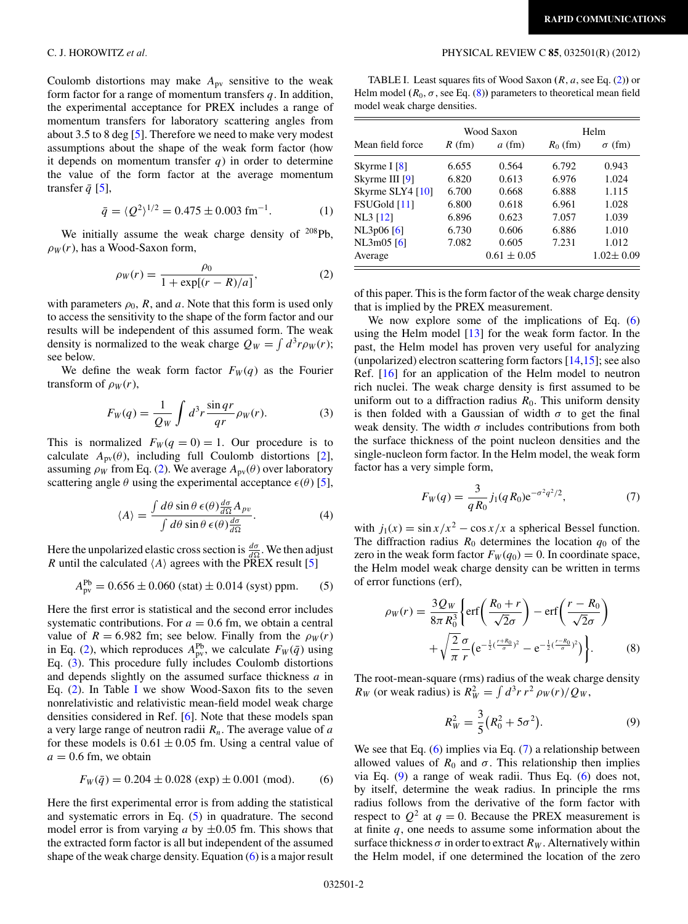<span id="page-1-0"></span>Coulomb distortions may make  $A_{\text{pv}}$  sensitive to the weak form factor for a range of momentum transfers *q*. In addition, the experimental acceptance for PREX includes a range of momentum transfers for laboratory scattering angles from about 3.5 to 8 deg [\[5\]](#page-3-0). Therefore we need to make very modest assumptions about the shape of the weak form factor (how it depends on momentum transfer  $q$ ) in order to determine the value of the form factor at the average momentum transfer  $\bar{q}$  [\[5\]](#page-3-0),

$$
\bar{q} = \langle Q^2 \rangle^{1/2} = 0.475 \pm 0.003 \text{ fm}^{-1}. \tag{1}
$$

We initially assume the weak charge density of  $208Pb$ ,  $\rho_W(r)$ , has a Wood-Saxon form,

$$
\rho_W(r) = \frac{\rho_0}{1 + \exp[(r - R)/a]},
$$
\n(2)

with parameters  $\rho_0$ , R, and a. Note that this form is used only to access the sensitivity to the shape of the form factor and our results will be independent of this assumed form. The weak density is normalized to the weak charge  $Q_W = \int d^3r \rho_W(r)$ ; see below.

We define the weak form factor  $F_W(q)$  as the Fourier transform of  $\rho_W(r)$ ,

$$
F_W(q) = \frac{1}{Q_W} \int d^3r \frac{\sin qr}{qr} \rho_W(r). \tag{3}
$$

This is normalized  $F_W(q = 0) = 1$ . Our procedure is to calculate  $A_{\text{pv}}(\theta)$ , including full Coulomb distortions [\[2\]](#page-3-0), assuming  $\rho_W$  from Eq. (2). We average  $A_{\text{pv}}(\theta)$  over laboratory scattering angle  $\theta$  using the experimental acceptance  $\epsilon(\theta)$  [\[5\]](#page-3-0),

$$
\langle A \rangle = \frac{\int d\theta \sin \theta \,\epsilon(\theta) \frac{d\sigma}{d\Omega} A_{pv}}{\int d\theta \sin \theta \,\epsilon(\theta) \frac{d\sigma}{d\Omega}}.
$$
 (4)

Here the unpolarized elastic cross section is  $\frac{d\sigma}{d\Omega}$ . We then adjust *R* until the calculated  $\langle A \rangle$  agrees with the PREX result [\[5\]](#page-3-0)

$$
A_{\text{pv}}^{\text{Pb}} = 0.656 \pm 0.060 \text{ (stat)} \pm 0.014 \text{ (syst) ppm.}
$$
 (5)

Here the first error is statistical and the second error includes systematic contributions. For  $a = 0.6$  fm, we obtain a central value of  $R = 6.982$  fm; see below. Finally from the  $\rho_W(r)$ in Eq. (2), which reproduces  $A_{\text{pv}}^{\text{Pb}}$ , we calculate  $F_W(\bar{q})$  using Eq. (3). This procedure fully includes Coulomb distortions and depends slightly on the assumed surface thickness *a* in Eq.  $(2)$ . In Table I we show Wood-Saxon fits to the seven nonrelativistic and relativistic mean-field model weak charge densities considered in Ref. [\[6\]](#page-3-0). Note that these models span a very large range of neutron radii *Rn*. The average value of *a* for these models is  $0.61 \pm 0.05$  fm. Using a central value of  $a = 0.6$  fm, we obtain

$$
F_W(\bar{q}) = 0.204 \pm 0.028 \text{ (exp)} \pm 0.001 \text{ (mod)}.
$$
 (6)

Here the first experimental error is from adding the statistical and systematic errors in Eq. (5) in quadrature. The second model error is from varying  $a$  by  $\pm 0.05$  fm. This shows that the extracted form factor is all but independent of the assumed shape of the weak charge density. Equation  $(6)$  is a major result

TABLE I. Least squares fits of Wood Saxon **(***R*, *a*, see Eq. (2)**)** or Helm model  $(R_0, \sigma, \text{see Eq. (8)})$  parameters to theoretical mean field model weak charge densities.

| Mean field force | Wood Saxon |                 | Helm       |                 |
|------------------|------------|-----------------|------------|-----------------|
|                  | $R$ (fm)   | $a$ (fm)        | $R_0$ (fm) | $\sigma$ (fm)   |
| Skyrme I $[8]$   | 6.655      | 0.564           | 6.792      | 0.943           |
| Skyrme III [9]   | 6.820      | 0.613           | 6.976      | 1.024           |
| Skyrme SLY4 [10] | 6.700      | 0.668           | 6.888      | 1.115           |
| FSUGold [11]     | 6.800      | 0.618           | 6.961      | 1.028           |
| NL3 [12]         | 6.896      | 0.623           | 7.057      | 1.039           |
| NL3p06 [6]       | 6.730      | 0.606           | 6.886      | 1.010           |
| NL3m05[6]        | 7.082      | 0.605           | 7.231      | 1.012           |
| Average          |            | $0.61 \pm 0.05$ |            | $1.02 \pm 0.09$ |

of this paper. This is the form factor of the weak charge density that is implied by the PREX measurement.

We now explore some of the implications of Eq. (6) using the Helm model [\[13\]](#page-3-0) for the weak form factor. In the past, the Helm model has proven very useful for analyzing (unpolarized) electron scattering form factors  $[14,15]$ ; see also Ref. [\[16\]](#page-3-0) for an application of the Helm model to neutron rich nuclei. The weak charge density is first assumed to be uniform out to a diffraction radius  $R_0$ . This uniform density is then folded with a Gaussian of width  $\sigma$  to get the final weak density. The width  $\sigma$  includes contributions from both the surface thickness of the point nucleon densities and the single-nucleon form factor. In the Helm model, the weak form factor has a very simple form,

$$
F_W(q) = \frac{3}{qR_0} j_1(qR_0) e^{-\sigma^2 q^2/2},\tag{7}
$$

with  $j_1(x) = \frac{\sin x}{x^2} - \frac{\cos x}{x}$  a spherical Bessel function. The diffraction radius  $R_0$  determines the location  $q_0$  of the zero in the weak form factor  $F_W(q_0) = 0$ . In coordinate space, the Helm model weak charge density can be written in terms of error functions (erf),

$$
\rho_W(r) = \frac{3Q_W}{8\pi R_0^3} \left\{ erf \left( \frac{R_0 + r}{\sqrt{2}\sigma} \right) - erf \left( \frac{r - R_0}{\sqrt{2}\sigma} \right) + \sqrt{\frac{2}{\pi}} \frac{\sigma}{r} \left( e^{-\frac{1}{2} (\frac{r + R_0}{\sigma})^2} - e^{-\frac{1}{2} (\frac{r - R_0}{\sigma})^2} \right) \right\}.
$$
 (8)

The root-mean-square (rms) radius of the weak charge density *R<sub>W</sub>* (or weak radius) is  $R_W^2 = \int d^3r \, r^2 \, \rho_W(r) / Q_W$ ,

$$
R_W^2 = \frac{3}{5} (R_0^2 + 5\sigma^2).
$$
 (9)

We see that Eq. (6) implies via Eq. (7) a relationship between allowed values of  $R_0$  and  $\sigma$ . This relationship then implies via Eq. (9) a range of weak radii. Thus Eq. (6) does not, by itself, determine the weak radius. In principle the rms radius follows from the derivative of the form factor with respect to  $Q^2$  at  $q = 0$ . Because the PREX measurement is at finite *q*, one needs to assume some information about the surface thickness  $\sigma$  in order to extract  $R_W$ . Alternatively within the Helm model, if one determined the location of the zero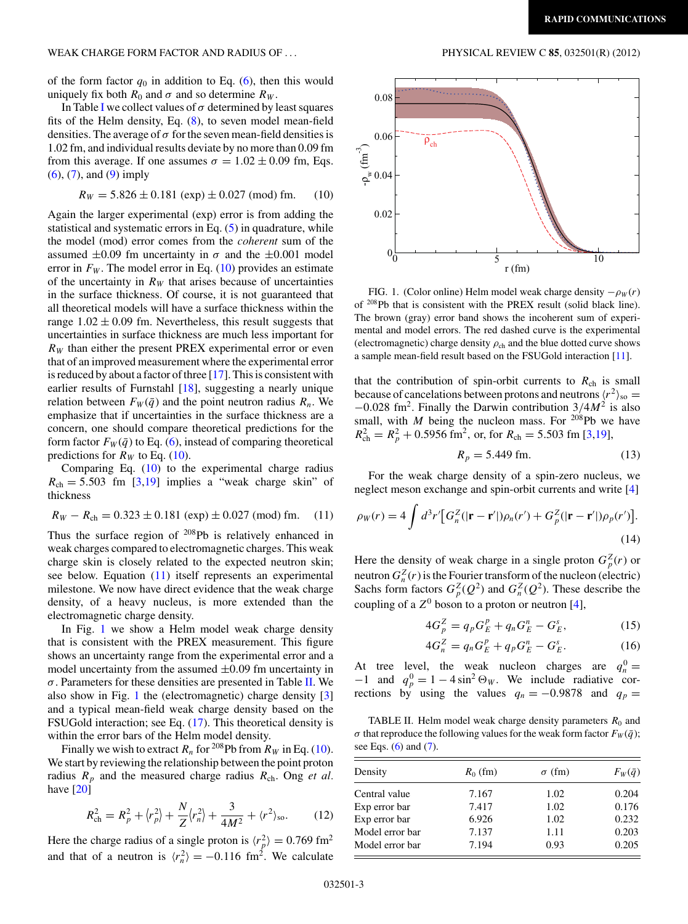<span id="page-2-0"></span>WEAK CHARGE FORM FACTOR AND RADIUS OF *...* PHYSICAL REVIEW C **85**, 032501(R) (2012)

of the form factor  $q_0$  in addition to Eq. [\(6\)](#page-1-0), then this would uniquely fix both  $R_0$  and  $\sigma$  and so determine  $R_W$ .

[I](#page-1-0)n Table I we collect values of  $\sigma$  determined by least squares fits of the Helm density, Eq. [\(8\)](#page-1-0), to seven model mean-field densities. The average of  $\sigma$  for the seven mean-field densities is 1.02 fm, and individual results deviate by no more than 0.09 fm from this average. If one assumes  $\sigma = 1.02 \pm 0.09$  fm, Eqs. [\(6\)](#page-1-0), [\(7\)](#page-1-0), and [\(9\)](#page-1-0) imply

$$
R_W = 5.826 \pm 0.181 \text{ (exp)} \pm 0.027 \text{ (mod) fm.}
$$
 (10)

Again the larger experimental (exp) error is from adding the statistical and systematic errors in Eq. [\(5\)](#page-1-0) in quadrature, while the model (mod) error comes from the *coherent* sum of the assumed  $\pm 0.09$  fm uncertainty in  $\sigma$  and the  $\pm 0.001$  model error in  $F_W$ . The model error in Eq. (10) provides an estimate of the uncertainty in  $R_W$  that arises because of uncertainties in the surface thickness. Of course, it is not guaranteed that all theoretical models will have a surface thickness within the range  $1.02 \pm 0.09$  fm. Nevertheless, this result suggests that uncertainties in surface thickness are much less important for  $R_W$  than either the present PREX experimental error or even that of an improved measurement where the experimental error is reduced by about a factor of three [\[17\]](#page-3-0). This is consistent with earlier results of Furnstahl [\[18\]](#page-4-0), suggesting a nearly unique relation between  $F_W(\bar{q})$  and the point neutron radius  $R_n$ . We emphasize that if uncertainties in the surface thickness are a concern, one should compare theoretical predictions for the form factor  $F_W(\bar{q})$  to Eq. [\(6\)](#page-1-0), instead of comparing theoretical predictions for  $R_W$  to Eq. (10).

Comparing Eq. (10) to the experimental charge radius  $R_{ch} = 5.503$  fm [\[3](#page-3-0)[,19\]](#page-4-0) implies a "weak charge skin" of thickness

$$
R_W - R_{ch} = 0.323 \pm 0.181 \text{ (exp)} \pm 0.027 \text{ (mod) fm.} \quad (11)
$$

Thus the surface region of <sup>208</sup>Pb is relatively enhanced in weak charges compared to electromagnetic charges. This weak charge skin is closely related to the expected neutron skin; see below. Equation (11) itself represents an experimental milestone. We now have direct evidence that the weak charge density, of a heavy nucleus, is more extended than the electromagnetic charge density.

In Fig. 1 we show a Helm model weak charge density that is consistent with the PREX measurement. This figure shows an uncertainty range from the experimental error and a model uncertainty from the assumed  $\pm 0.09$  fm uncertainty in *σ*. Parameters for these densities are presented in Table II. We also show in Fig. 1 the (electromagnetic) charge density [\[3\]](#page-3-0) and a typical mean-field weak charge density based on the FSUGold interaction; see Eq. [\(17\)](#page-3-0). This theoretical density is within the error bars of the Helm model density.

Finally we wish to extract  $R_n$  for <sup>208</sup>Pb from  $R_W$  in Eq. (10). We start by reviewing the relationship between the point proton radius  $R_p$  and the measured charge radius  $R_{ch}$ . Ong *et al.* have [\[20\]](#page-4-0)

$$
R_{\rm ch}^2 = R_p^2 + \langle r_p^2 \rangle + \frac{N}{Z} \langle r_n^2 \rangle + \frac{3}{4M^2} + \langle r^2 \rangle_{\rm so}.
$$
 (12)

Here the charge radius of a single proton is  $\langle r_p^2 \rangle = 0.769 \text{ fm}^2$ and that of a neutron is  $\langle r_n^2 \rangle = -0.116$  fm<sup>2</sup>. We calculate



FIG. 1. (Color online) Helm model weak charge density  $-\rho_W(r)$ of 208Pb that is consistent with the PREX result (solid black line). The brown (gray) error band shows the incoherent sum of experimental and model errors. The red dashed curve is the experimental (electromagnetic) charge density  $\rho_{ch}$  and the blue dotted curve shows a sample mean-field result based on the FSUGold interaction [\[11\]](#page-3-0).

that the contribution of spin-orbit currents to  $R_{ch}$  is small because of cancelations between protons and neutrons  $\langle r^2 \rangle_{\rm so} =$ <sup>−</sup>0*.*028 fm2. Finally the Darwin contribution 3*/*4*M*<sup>2</sup> is also small, with *M* being the nucleon mass. For  $^{208}Pb$  we have  $R_{ch}^2 = R_p^2 + 0.5956$  fm<sup>2</sup>, or, for  $R_{ch} = 5.503$  fm [\[3,](#page-3-0)[19\]](#page-4-0),

$$
R_p = 5.449 \text{ fm.}
$$
 (13)

For the weak charge density of a spin-zero nucleus, we neglect meson exchange and spin-orbit currents and write [\[4\]](#page-3-0)

$$
\rho_W(r) = 4 \int d^3r' \left[ G_n^Z(|\mathbf{r} - \mathbf{r}'|) \rho_n(r') + G_p^Z(|\mathbf{r} - \mathbf{r}'|) \rho_p(r') \right].
$$
\n(14)

Here the density of weak charge in a single proton  $G_p^Z(r)$  or neutron  $G_n^Z(r)$  is the Fourier transform of the nucleon (electric) Sachs form factors  $G_p^Z(Q^2)$  and  $G_n^Z(Q^2)$ . These describe the coupling of a  $Z^0$  boson to a proton or neutron [\[4\]](#page-3-0),

$$
4G_p^Z = q_p G_E^p + q_n G_E^n - G_E^s, \qquad (15)
$$

$$
4G_n^Z = q_n G_E^p + q_p G_E^n - G_E^s. \tag{16}
$$

At tree level, the weak nucleon charges are  $q_n^0 = -1$  and  $q_p^0 = 1 - 4 \sin^2 \Theta_w$ . We include radiative corrections by using the values  $q_n = -0.9878$  and  $q_p =$ 

TABLE II. Helm model weak charge density parameters  $R_0$  and *σ* that reproduce the following values for the weak form factor  $F_W(\bar{q})$ ; see Eqs. [\(6\)](#page-1-0) and [\(7\)](#page-1-0).

| Density         | $R_0$ (fm) | $\sigma$ (fm) | $F_W(\bar{q})$ |
|-----------------|------------|---------------|----------------|
| Central value   | 7.167      | 1.02          | 0.204          |
| Exp error bar   | 7.417      | 1.02          | 0.176          |
| Exp error bar   | 6.926      | 1.02          | 0.232          |
| Model error bar | 7.137      | 1.11          | 0.203          |
| Model error bar | 7.194      | 0.93          | 0.205          |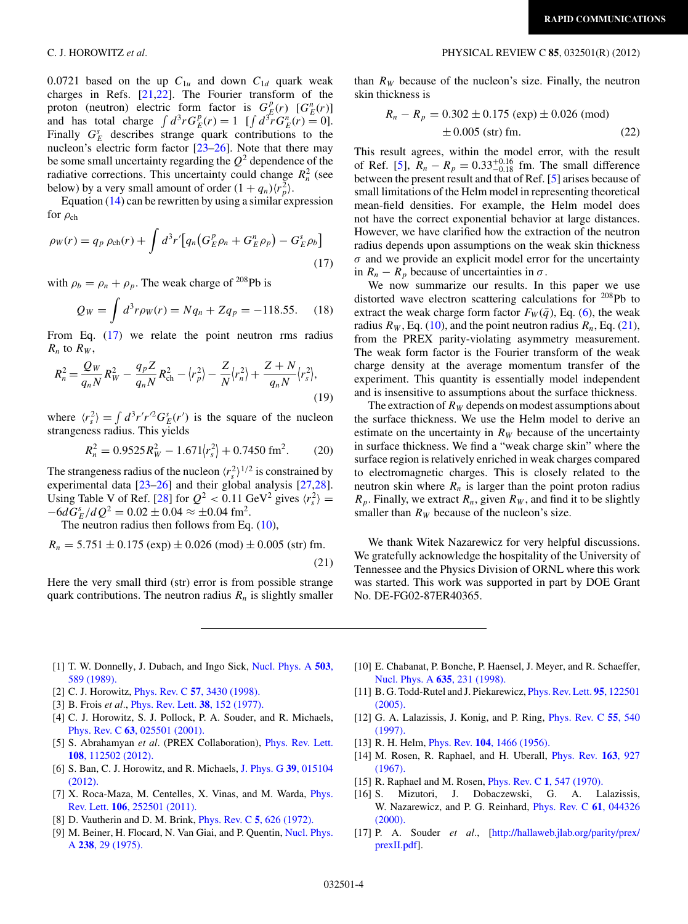0.0721 based on the up  $C_{1u}$  and down  $C_{1d}$  quark weak charges in Refs.  $[21,22]$ . The Fourier transform of the proton (neutron) electric form factor is  $G_E^p(r)$  [ $G_E^n(r)$ ] and has total charge  $\int d^3r G_E^p(r) = 1$  [ $\int d^3r G_E^n(r) = 0$ ]. Finally  $G_E^s$  describes strange quark contributions to the nucleon's electric form factor [\[23–26\]](#page-4-0). Note that there may be some small uncertainty regarding the  $Q^2$  dependence of the radiative corrections. This uncertainty could change  $R_n^2$  (see below) by a very small amount of order  $(1 + q_n)\langle r_p^2 \rangle$ .

Equation  $(14)$  can be rewritten by using a similar expression for  $\rho_{ch}$ 

$$
\rho_W(r) = q_p \,\rho_{\rm ch}(r) + \int d^3r' \big[ q_n \big( G_E^p \rho_n + G_E^n \rho_p \big) - G_E^s \rho_b \big]
$$
\n(17)

with  $\rho_b = \rho_n + \rho_p$ . The weak charge of <sup>208</sup>Pb is

$$
Q_W = \int d^3 r \rho_W(r) = Nq_n + Zq_p = -118.55. \quad (18)
$$

From Eq. (17) we relate the point neutron rms radius  $R_n$  to  $R_W$ ,

$$
R_n^2 = \frac{Q_W}{q_n N} R_W^2 - \frac{q_p Z}{q_n N} R_{\rm ch}^2 - \langle r_p^2 \rangle - \frac{Z}{N} \langle r_n^2 \rangle + \frac{Z + N}{q_n N} \langle r_s^2 \rangle, \tag{19}
$$

where  $\langle r_s^2 \rangle = \int d^3r' r'^2 G_E^s(r')$  is the square of the nucleon strangeness radius. This yields

$$
R_n^2 = 0.9525R_W^2 - 1.671 \langle r_s^2 \rangle + 0.7450 \text{ fm}^2. \tag{20}
$$

The strangeness radius of the nucleon  $\langle r_s^2 \rangle^{1/2}$  is constrained by experimental data [\[23–26\]](#page-4-0) and their global analysis [\[27,28\]](#page-4-0). Using Table V of Ref. [\[28\]](#page-4-0) for  $Q^2 < 0.11$  GeV<sup>2</sup> gives  $\langle r_s^2 \rangle =$  $-6dG_E^s/dQ^2 = 0.02 \pm 0.04 \approx \pm 0.04$  fm<sup>2</sup>.

The neutron radius then follows from Eq.  $(10)$ ,

$$
R_n = 5.751 \pm 0.175 \text{ (exp)} \pm 0.026 \text{ (mod)} \pm 0.005 \text{ (str) fm.}
$$
\n(21)

Here the very small third (str) error is from possible strange quark contributions. The neutron radius  $R_n$  is slightly smaller

### <span id="page-3-0"></span>C. J. HOROWITZ *et al.* PHYSICAL REVIEW C **85**, 032501(R) (2012)

than  $R_W$  because of the nucleon's size. Finally, the neutron skin thickness is

$$
R_n - R_p = 0.302 \pm 0.175 \text{ (exp)} \pm 0.026 \text{ (mod)}
$$
  

$$
\pm 0.005 \text{ (str) fm.}
$$
 (22)

This result agrees, within the model error, with the result of Ref. [5],  $R_n - R_p = 0.33^{+0.16}_{-0.18}$  fm. The small difference between the present result and that of Ref. [5] arises because of small limitations of the Helm model in representing theoretical mean-field densities. For example, the Helm model does not have the correct exponential behavior at large distances. However, we have clarified how the extraction of the neutron radius depends upon assumptions on the weak skin thickness  $\sigma$  and we provide an explicit model error for the uncertainty in  $R_n - R_p$  because of uncertainties in  $\sigma$ .

We now summarize our results. In this paper we use distorted wave electron scattering calculations for 208Pb to extract the weak charge form factor  $F_W(\bar{q})$ , Eq. [\(6\)](#page-1-0), the weak radius  $R_W$ , Eq. [\(10\)](#page-2-0), and the point neutron radius  $R_n$ , Eq. (21), from the PREX parity-violating asymmetry measurement. The weak form factor is the Fourier transform of the weak charge density at the average momentum transfer of the experiment. This quantity is essentially model independent and is insensitive to assumptions about the surface thickness.

The extraction of  $R_W$  depends on modest assumptions about the surface thickness. We use the Helm model to derive an estimate on the uncertainty in  $R_W$  because of the uncertainty in surface thickness. We find a "weak charge skin" where the surface region is relatively enriched in weak charges compared to electromagnetic charges. This is closely related to the neutron skin where  $R_n$  is larger than the point proton radius  $R_p$ . Finally, we extract  $R_n$ , given  $R_W$ , and find it to be slightly smaller than  $R_W$  because of the nucleon's size.

We thank Witek Nazarewicz for very helpful discussions. We gratefully acknowledge the hospitality of the University of Tennessee and the Physics Division of ORNL where this work was started. This work was supported in part by DOE Grant No. DE-FG02-87ER40365.

- [1] T. W. Donnelly, J. Dubach, and Ingo Sick, [Nucl. Phys. A](http://dx.doi.org/10.1016/0375-9474(89)90432-6) **503**, [589 \(1989\).](http://dx.doi.org/10.1016/0375-9474(89)90432-6)
- [2] C. J. Horowitz, Phys. Rev. C **57**[, 3430 \(1998\).](http://dx.doi.org/10.1103/PhysRevC.57.3430)
- [3] B. Frois *et al.*, [Phys. Rev. Lett.](http://dx.doi.org/10.1103/PhysRevLett.38.152) **38**, 152 (1977).
- [4] C. J. Horowitz, S. J. Pollock, P. A. Souder, and R. Michaels, Phys. Rev. C **63**[, 025501 \(2001\).](http://dx.doi.org/10.1103/PhysRevC.63.025501)
- [5] S. Abrahamyan *et al.* (PREX Collaboration), [Phys. Rev. Lett.](http://dx.doi.org/10.1103/PhysRevLett.108.112502) **108**[, 112502 \(2012\).](http://dx.doi.org/10.1103/PhysRevLett.108.112502)
- [6] S. Ban, C. J. Horowitz, and R. Michaels, [J. Phys. G](http://dx.doi.org/10.1088/0954-3899/39/1/015104) **39**, 015104 [\(2012\).](http://dx.doi.org/10.1088/0954-3899/39/1/015104)
- [7] X. Roca-Maza, M. Centelles, X. Vinas, and M. Warda, *[Phys.](http://dx.doi.org/10.1103/PhysRevLett.106.252501)* Rev. Lett. **106**[, 252501 \(2011\).](http://dx.doi.org/10.1103/PhysRevLett.106.252501)
- [8] D. Vautherin and D. M. Brink, Phys. Rev. C **5**[, 626 \(1972\).](http://dx.doi.org/10.1103/PhysRevC.5.626)
- [9] M. Beiner, H. Flocard, N. Van Giai, and P. Quentin, [Nucl. Phys.](http://dx.doi.org/10.1016/0375-9474(75)90338-3) A **238**[, 29 \(1975\).](http://dx.doi.org/10.1016/0375-9474(75)90338-3)
- [10] E. Chabanat, P. Bonche, P. Haensel, J. Meyer, and R. Schaeffer, [Nucl. Phys. A](http://dx.doi.org/10.1016/S0375-9474(98)00180-8) **635**, 231 (1998).
- [11] B. G. Todd-Rutel and J. Piekarewicz, [Phys. Rev. Lett.](http://dx.doi.org/10.1103/PhysRevLett.95.122501) **95**, 122501 [\(2005\).](http://dx.doi.org/10.1103/PhysRevLett.95.122501)
- [12] G. A. Lalazissis, J. Konig, and P. Ring, [Phys. Rev. C](http://dx.doi.org/10.1103/PhysRevC.55.540) **55**, 540 [\(1997\).](http://dx.doi.org/10.1103/PhysRevC.55.540)
- [13] R. H. Helm, Phys. Rev. **104**[, 1466 \(1956\).](http://dx.doi.org/10.1103/PhysRev.104.1466)
- [14] M. Rosen, R. Raphael, and H. Uberall, [Phys. Rev.](http://dx.doi.org/10.1103/PhysRev.163.927) **163**, 927 [\(1967\).](http://dx.doi.org/10.1103/PhysRev.163.927)
- [15] R. Raphael and M. Rosen, Phys. Rev. C **1**[, 547 \(1970\).](http://dx.doi.org/10.1103/PhysRevC.1.547)
- [16] S. Mizutori, J. Dobaczewski, G. A. Lalazissis, W. Nazarewicz, and P. G. Reinhard, [Phys. Rev. C](http://dx.doi.org/10.1103/PhysRevC.61.044326) **61**, 044326 [\(2000\).](http://dx.doi.org/10.1103/PhysRevC.61.044326)
- [17] P. A. Souder *et al.*, [\[http://hallaweb.jlab.org/parity/prex/](http://hallaweb.jlab.org/parity/prex/prexII.pdf) [prexII.pdf\]](http://hallaweb.jlab.org/parity/prex/prexII.pdf).